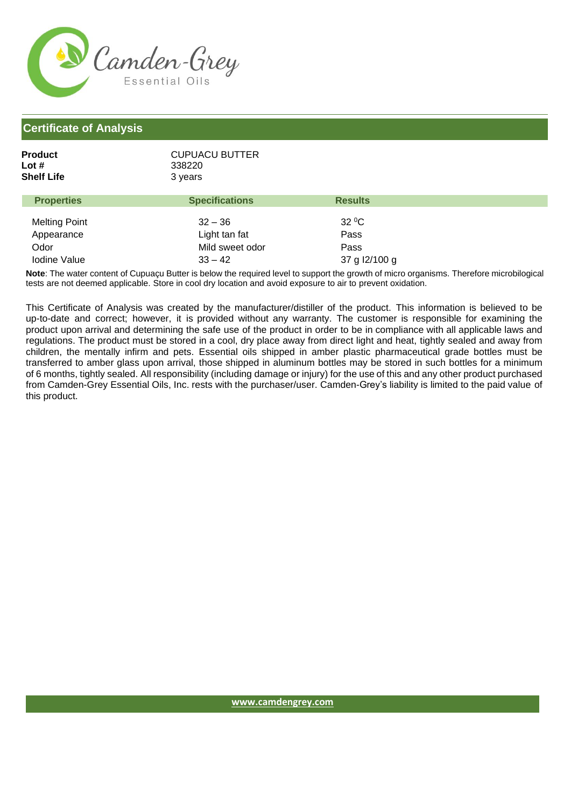

## **Certificate of Analysis**

| Product    | <b>CUPUACU BUTTER</b> |  |  |
|------------|-----------------------|--|--|
| Lot #      | 338220                |  |  |
| Shelf Life | 3 years               |  |  |
|            |                       |  |  |

| <b>Properties</b>    | <b>Specifications</b> | <b>Results</b> |  |
|----------------------|-----------------------|----------------|--|
| <b>Melting Point</b> | $32 - 36$             | $32^{\circ}$ C |  |
| Appearance           | Light tan fat         | Pass           |  |
| Odor                 | Mild sweet odor       | Pass           |  |
| <b>Iodine Value</b>  | $33 - 42$             | 37 g l2/100 g  |  |

**Note**: The water content of Cupuaçu Butter is below the required level to support the growth of micro organisms. Therefore microbilogical tests are not deemed applicable. Store in cool dry location and avoid exposure to air to prevent oxidation.

This Certificate of Analysis was created by the manufacturer/distiller of the product. This information is believed to be up-to-date and correct; however, it is provided without any warranty. The customer is responsible for examining the product upon arrival and determining the safe use of the product in order to be in compliance with all applicable laws and regulations. The product must be stored in a cool, dry place away from direct light and heat, tightly sealed and away from children, the mentally infirm and pets. Essential oils shipped in amber plastic pharmaceutical grade bottles must be transferred to amber glass upon arrival, those shipped in aluminum bottles may be stored in such bottles for a minimum of 6 months, tightly sealed. All responsibility (including damage or injury) for the use of this and any other product purchased from Camden-Grey Essential Oils, Inc. rests with the purchaser/user. Camden-Grey's liability is limited to the paid value of this product.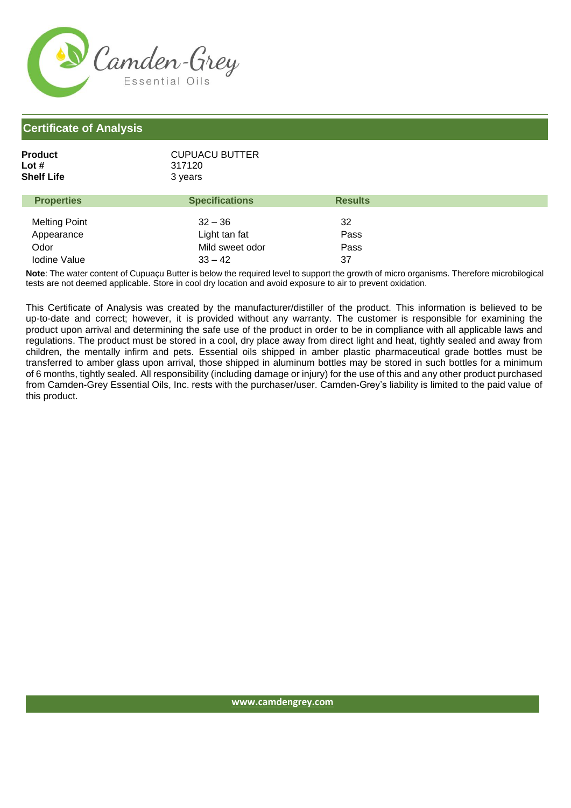

## **Certificate of Analysis**

| Product    | <b>CUPUACU BUTTER</b> |  |
|------------|-----------------------|--|
| Lot #      | 317120                |  |
| Shelf Life | 3 years               |  |
|            |                       |  |

| <b>Properties</b>    | <b>Specifications</b> | <b>Results</b> |
|----------------------|-----------------------|----------------|
| <b>Melting Point</b> | $32 - 36$             | 32             |
| Appearance           | Light tan fat         | Pass           |
| Odor                 | Mild sweet odor       | Pass           |
| <b>Iodine Value</b>  | $33 - 42$             | 37             |

**Note**: The water content of Cupuaçu Butter is below the required level to support the growth of micro organisms. Therefore microbilogical tests are not deemed applicable. Store in cool dry location and avoid exposure to air to prevent oxidation.

This Certificate of Analysis was created by the manufacturer/distiller of the product. This information is believed to be up-to-date and correct; however, it is provided without any warranty. The customer is responsible for examining the product upon arrival and determining the safe use of the product in order to be in compliance with all applicable laws and regulations. The product must be stored in a cool, dry place away from direct light and heat, tightly sealed and away from children, the mentally infirm and pets. Essential oils shipped in amber plastic pharmaceutical grade bottles must be transferred to amber glass upon arrival, those shipped in aluminum bottles may be stored in such bottles for a minimum of 6 months, tightly sealed. All responsibility (including damage or injury) for the use of this and any other product purchased from Camden-Grey Essential Oils, Inc. rests with the purchaser/user. Camden-Grey's liability is limited to the paid value of this product.